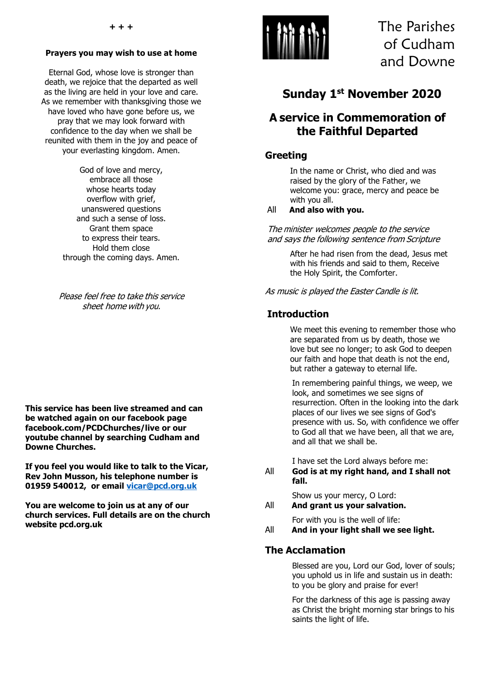#### **Prayers you may wish to use at home**

Eternal God, whose love is stronger than death, we rejoice that the departed as well as the living are held in your love and care. As we remember with thanksgiving those we have loved who have gone before us, we pray that we may look forward with confidence to the day when we shall be reunited with them in the joy and peace of your everlasting kingdom. Amen.

> God of love and mercy, embrace all those whose hearts today overflow with grief, unanswered questions and such a sense of loss. Grant them space to express their tears. Hold them close through the coming days. Amen.

Please feel free to take this service sheet home with you.

**This service has been live streamed and can be watched again on our facebook page facebook.com/PCDChurches/live or our youtube channel by searching Cudham and Downe Churches.**

**If you feel you would like to talk to the Vicar, Rev John Musson, his telephone number is 01959 540012, or email [vicar@pcd.org.uk](mailto:vicar@pcd.org.uk)**

**You are welcome to join us at any of our church services. Full details are on the church website pcd.org.uk** 



The Parishes of Cudham and Downe

# **Sunday 1 st November 2020**

## **A service in Commemoration of the Faithful Departed**

### **Greeting**

In the name or Christ, who died and was raised by the glory of the Father, we welcome you: grace, mercy and peace be with you all.

#### All **And also with you.**

The minister welcomes people to the service and says the following sentence from Scripture

> After he had risen from the dead, Jesus met with his friends and said to them, Receive the Holy Spirit, the Comforter.

As music is played the Easter Candle is lit.

### **Introduction**

We meet this evening to remember those who are separated from us by death, those we love but see no longer; to ask God to deepen our faith and hope that death is not the end, but rather a gateway to eternal life.

In remembering painful things, we weep, we look, and sometimes we see signs of resurrection. Often in the looking into the dark places of our lives we see signs of God's presence with us. So, with confidence we offer to God all that we have been, all that we are, and all that we shall be.

I have set the Lord always before me:

All **God is at my right hand, and I shall not fall.**

Show us your mercy, O Lord:

All **And grant us your salvation.**

For with you is the well of life:

All **And in your light shall we see light.**

### **The Acclamation**

Blessed are you, Lord our God, lover of souls; you uphold us in life and sustain us in death: to you be glory and praise for ever!

For the darkness of this age is passing away as Christ the bright morning star brings to his saints the light of life.